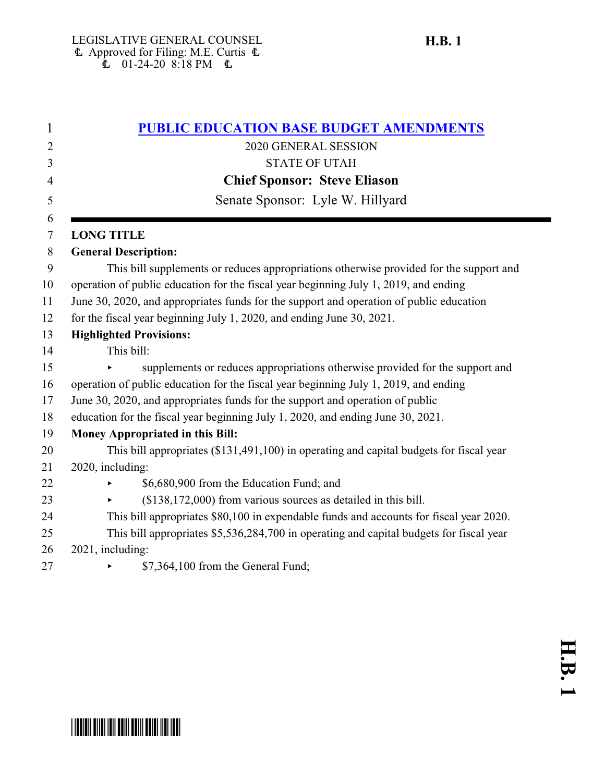| 1      | <b>PUBLIC EDUCATION BASE BUDGET AMENDMENTS</b>                                          |
|--------|-----------------------------------------------------------------------------------------|
| 2      | 2020 GENERAL SESSION                                                                    |
| 3      | <b>STATE OF UTAH</b>                                                                    |
| 4      | <b>Chief Sponsor: Steve Eliason</b>                                                     |
| 5      | Senate Sponsor: Lyle W. Hillyard                                                        |
| 6<br>7 | <b>LONG TITLE</b>                                                                       |
| 8      | <b>General Description:</b>                                                             |
| 9      | This bill supplements or reduces appropriations otherwise provided for the support and  |
| 10     | operation of public education for the fiscal year beginning July 1, 2019, and ending    |
| 11     | June 30, 2020, and appropriates funds for the support and operation of public education |
| 12     | for the fiscal year beginning July 1, 2020, and ending June 30, 2021.                   |
| 13     | <b>Highlighted Provisions:</b>                                                          |
| 14     | This bill:                                                                              |
| 15     | supplements or reduces appropriations otherwise provided for the support and            |
| 16     | operation of public education for the fiscal year beginning July 1, 2019, and ending    |
| 17     | June 30, 2020, and appropriates funds for the support and operation of public           |
| 18     | education for the fiscal year beginning July 1, 2020, and ending June 30, 2021.         |
| 19     | <b>Money Appropriated in this Bill:</b>                                                 |
| 20     | This bill appropriates (\$131,491,100) in operating and capital budgets for fiscal year |
| 21     | 2020, including:                                                                        |
| 22     | \$6,680,900 from the Education Fund; and                                                |
| 23     | $($138,172,000)$ from various sources as detailed in this bill.                         |
| 24     | This bill appropriates \$80,100 in expendable funds and accounts for fiscal year 2020.  |
| 25     | This bill appropriates \$5,536,284,700 in operating and capital budgets for fiscal year |
| 26     | 2021, including:                                                                        |
| 27     | \$7,364,100 from the General Fund;                                                      |

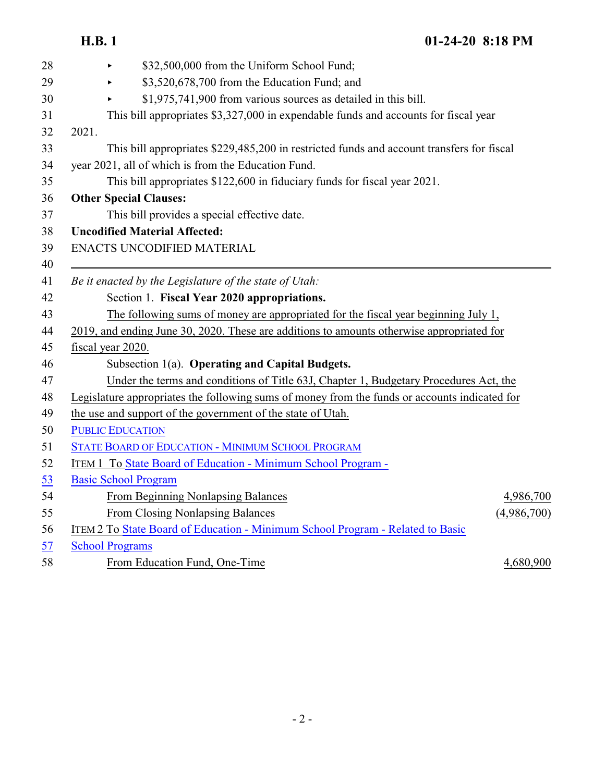| 28 | \$32,500,000 from the Uniform School Fund;                                                    |
|----|-----------------------------------------------------------------------------------------------|
| 29 | \$3,520,678,700 from the Education Fund; and                                                  |
| 30 | \$1,975,741,900 from various sources as detailed in this bill.                                |
| 31 | This bill appropriates \$3,327,000 in expendable funds and accounts for fiscal year           |
| 32 | 2021.                                                                                         |
| 33 | This bill appropriates \$229,485,200 in restricted funds and account transfers for fiscal     |
| 34 | year 2021, all of which is from the Education Fund.                                           |
| 35 | This bill appropriates \$122,600 in fiduciary funds for fiscal year 2021.                     |
| 36 | <b>Other Special Clauses:</b>                                                                 |
| 37 | This bill provides a special effective date.                                                  |
| 38 | <b>Uncodified Material Affected:</b>                                                          |
| 39 | ENACTS UNCODIFIED MATERIAL                                                                    |
| 40 |                                                                                               |
| 41 | Be it enacted by the Legislature of the state of Utah:                                        |
| 42 | Section 1. Fiscal Year 2020 appropriations.                                                   |
| 43 | The following sums of money are appropriated for the fiscal year beginning July 1,            |
| 44 | 2019, and ending June 30, 2020. These are additions to amounts otherwise appropriated for     |
| 45 | fiscal year 2020.                                                                             |
| 46 | Subsection 1(a). Operating and Capital Budgets.                                               |
| 47 | Under the terms and conditions of Title 63J, Chapter 1, Budgetary Procedures Act, the         |
| 48 | Legislature appropriates the following sums of money from the funds or accounts indicated for |
| 49 | the use and support of the government of the state of Utah.                                   |
| 50 | <b>PUBLIC EDUCATION</b>                                                                       |
| 51 | STATE BOARD OF EDUCATION - MINIMUM SCHOOL PROGRAM                                             |
| 52 | ITEM 1 To State Board of Education - Minimum School Program -                                 |
| 53 | <b>Basic School Program</b>                                                                   |
| 54 | From Beginning Nonlapsing Balances<br>4,986,700                                               |
| 55 | From Closing Nonlapsing Balances<br>(4,986,700)                                               |
| 56 | ITEM 2 To State Board of Education - Minimum School Program - Related to Basic                |
| 57 | <b>School Programs</b>                                                                        |
| 58 | 4,680,900<br>From Education Fund, One-Time                                                    |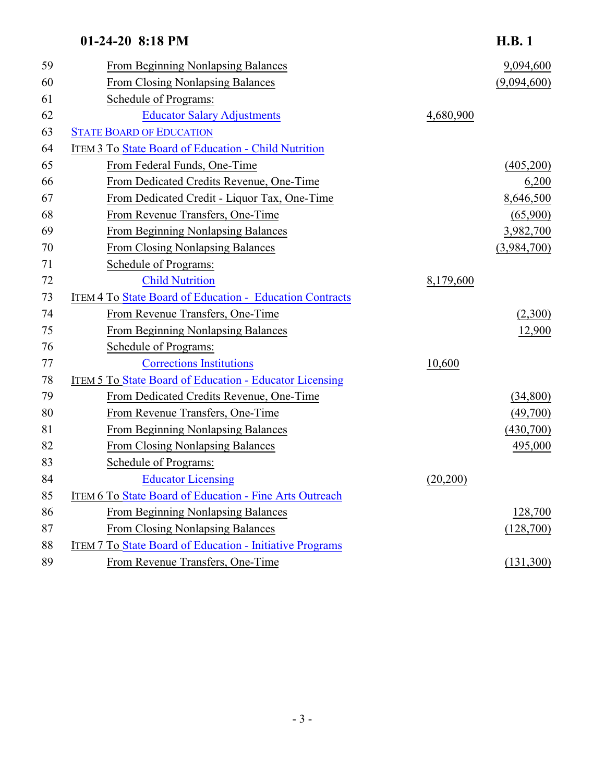| 59 | From Beginning Nonlapsing Balances                              |           | 9,094,600   |
|----|-----------------------------------------------------------------|-----------|-------------|
| 60 | <b>From Closing Nonlapsing Balances</b>                         |           | (9,094,600) |
| 61 | Schedule of Programs:                                           |           |             |
| 62 | <b>Educator Salary Adjustments</b>                              | 4,680,900 |             |
| 63 | <b>STATE BOARD OF EDUCATION</b>                                 |           |             |
| 64 | <b>ITEM 3 To State Board of Education - Child Nutrition</b>     |           |             |
| 65 | From Federal Funds, One-Time                                    |           | (405,200)   |
| 66 | From Dedicated Credits Revenue, One-Time                        |           | 6,200       |
| 67 | From Dedicated Credit - Liquor Tax, One-Time                    |           | 8,646,500   |
| 68 | From Revenue Transfers, One-Time                                |           | (65,900)    |
| 69 | From Beginning Nonlapsing Balances                              |           | 3,982,700   |
| 70 | <b>From Closing Nonlapsing Balances</b>                         |           | (3,984,700) |
| 71 | Schedule of Programs:                                           |           |             |
| 72 | <b>Child Nutrition</b>                                          | 8,179,600 |             |
| 73 | ITEM 4 To State Board of Education - Education Contracts        |           |             |
| 74 | From Revenue Transfers, One-Time                                |           | (2,300)     |
| 75 | From Beginning Nonlapsing Balances                              |           | 12,900      |
| 76 | Schedule of Programs:                                           |           |             |
| 77 | <b>Corrections Institutions</b>                                 | 10,600    |             |
| 78 | <b>ITEM 5 To State Board of Education - Educator Licensing</b>  |           |             |
| 79 | From Dedicated Credits Revenue, One-Time                        |           | (34,800)    |
| 80 | From Revenue Transfers, One-Time                                |           | (49,700)    |
| 81 | From Beginning Nonlapsing Balances                              |           | (430,700)   |
| 82 | <b>From Closing Nonlapsing Balances</b>                         |           | 495,000     |
| 83 | Schedule of Programs:                                           |           |             |
| 84 | <b>Educator Licensing</b>                                       | (20,200)  |             |
| 85 | <b>ITEM 6 To State Board of Education - Fine Arts Outreach</b>  |           |             |
| 86 | From Beginning Nonlapsing Balances                              |           | 128,700     |
| 87 | From Closing Nonlapsing Balances                                |           | (128,700)   |
| 88 | <b>ITEM 7 To State Board of Education - Initiative Programs</b> |           |             |
| 89 | From Revenue Transfers, One-Time                                |           | (131,300)   |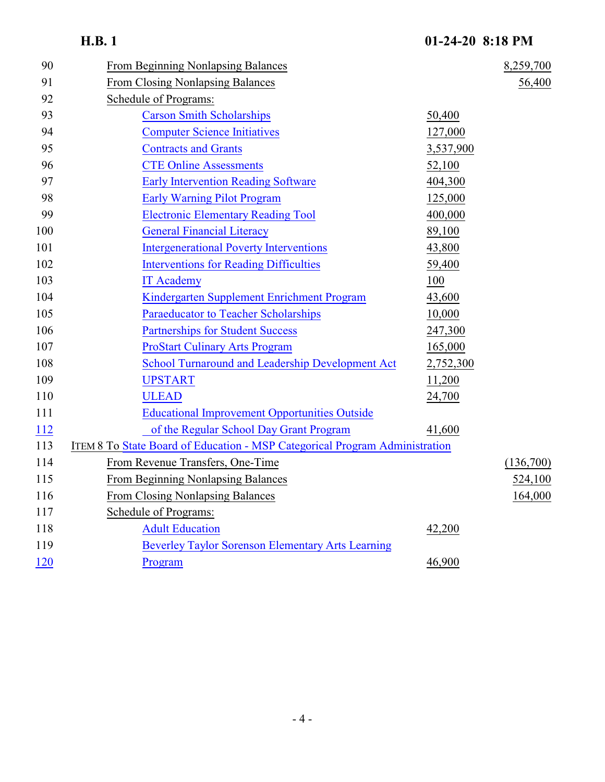|             | <b>H.B.1</b>                                                                | 01-24-20 8:18 PM |           |
|-------------|-----------------------------------------------------------------------------|------------------|-----------|
| 90          | From Beginning Nonlapsing Balances                                          |                  | 8,259,700 |
| 91          | <b>From Closing Nonlapsing Balances</b>                                     |                  | 56,400    |
| 92          | Schedule of Programs:                                                       |                  |           |
| 93          | <b>Carson Smith Scholarships</b>                                            | 50,400           |           |
| 94          | <b>Computer Science Initiatives</b>                                         | 127,000          |           |
| 95          | <b>Contracts and Grants</b>                                                 | 3,537,900        |           |
| 96          | <b>CTE Online Assessments</b>                                               | 52,100           |           |
| 97          | <b>Early Intervention Reading Software</b>                                  | 404,300          |           |
| 98          | <b>Early Warning Pilot Program</b>                                          | 125,000          |           |
| 99          | <b>Electronic Elementary Reading Tool</b>                                   | 400,000          |           |
| 100         | <b>General Financial Literacy</b>                                           | 89,100           |           |
| 101         | <b>Intergenerational Poverty Interventions</b>                              | 43,800           |           |
| 102         | <b>Interventions for Reading Difficulties</b>                               | 59,400           |           |
| 103         | <b>IT Academy</b>                                                           | 100              |           |
| 104         | Kindergarten Supplement Enrichment Program                                  | 43,600           |           |
| 105         | <b>Paraeducator to Teacher Scholarships</b>                                 | 10,000           |           |
| 106         | <b>Partnerships for Student Success</b>                                     | 247,300          |           |
| 107         | <b>ProStart Culinary Arts Program</b>                                       | 165,000          |           |
| 108         | <b>School Turnaround and Leadership Development Act</b>                     | 2,752,300        |           |
| 109         | <b>UPSTART</b>                                                              | 11,200           |           |
| 110         | <b>ULEAD</b>                                                                | 24,700           |           |
| 111         | <b>Educational Improvement Opportunities Outside</b>                        |                  |           |
| <u> 112</u> | of the Regular School Day Grant Program                                     | 41,600           |           |
| 113         | ITEM 8 To State Board of Education - MSP Categorical Program Administration |                  |           |
| 114         | From Revenue Transfers, One-Time                                            |                  | (136,700) |
| 115         | From Beginning Nonlapsing Balances                                          |                  | 524,100   |
| 116         | From Closing Nonlapsing Balances                                            |                  | 164,000   |
| 117         | Schedule of Programs:                                                       |                  |           |
| 118         | <b>Adult Education</b>                                                      | 42,200           |           |
| 119         | <b>Beverley Taylor Sorenson Elementary Arts Learning</b>                    |                  |           |
| <u>120</u>  | Program                                                                     | 46,900           |           |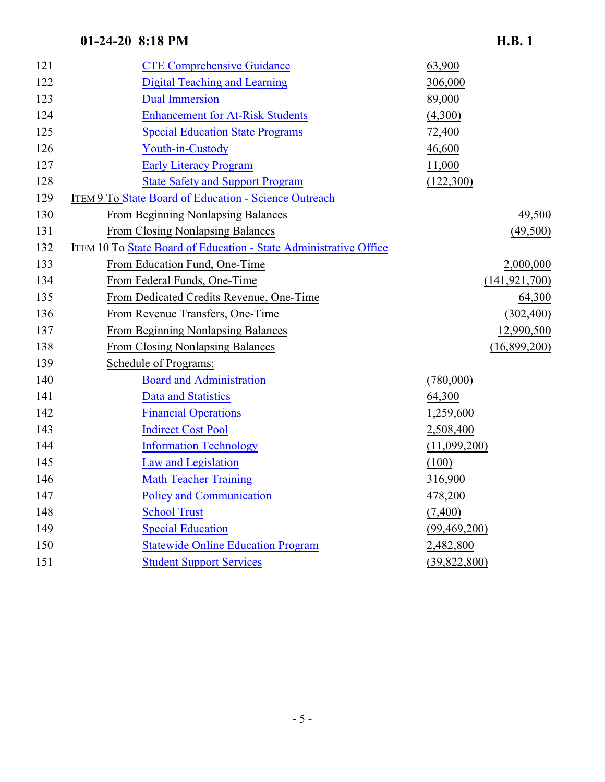| 121 | <b>CTE Comprehensive Guidance</b>                                 | 63,900          |
|-----|-------------------------------------------------------------------|-----------------|
| 122 | <b>Digital Teaching and Learning</b>                              | 306,000         |
| 123 | <b>Dual Immersion</b>                                             | 89,000          |
| 124 | <b>Enhancement for At-Risk Students</b>                           | (4,300)         |
| 125 | <b>Special Education State Programs</b>                           | 72,400          |
| 126 | Youth-in-Custody                                                  | 46,600          |
| 127 | <b>Early Literacy Program</b>                                     | 11,000          |
| 128 | <b>State Safety and Support Program</b>                           | (122,300)       |
| 129 | ITEM 9 To State Board of Education - Science Outreach             |                 |
| 130 | From Beginning Nonlapsing Balances                                | 49,500          |
| 131 | From Closing Nonlapsing Balances                                  | (49,500)        |
| 132 | ITEM 10 To State Board of Education - State Administrative Office |                 |
| 133 | From Education Fund, One-Time                                     | 2,000,000       |
| 134 | From Federal Funds, One-Time                                      | (141, 921, 700) |
| 135 | From Dedicated Credits Revenue, One-Time                          | 64,300          |
| 136 | From Revenue Transfers, One-Time                                  | (302, 400)      |
| 137 | From Beginning Nonlapsing Balances                                | 12,990,500      |
| 138 | From Closing Nonlapsing Balances                                  | (16,899,200)    |
| 139 | Schedule of Programs:                                             |                 |
| 140 | <b>Board and Administration</b>                                   | (780,000)       |
| 141 | <b>Data and Statistics</b>                                        | 64,300          |
| 142 | <b>Financial Operations</b>                                       | 1,259,600       |
| 143 | <b>Indirect Cost Pool</b>                                         | 2,508,400       |
| 144 | <b>Information Technology</b>                                     | (11,099,200)    |
| 145 | Law and Legislation                                               | (100)           |
| 146 | <b>Math Teacher Training</b>                                      | 316,900         |
| 147 | <b>Policy and Communication</b>                                   | 478,200         |
| 148 | <b>School Trust</b>                                               | (7,400)         |
| 149 | <b>Special Education</b>                                          | (99, 469, 200)  |
| 150 | <b>Statewide Online Education Program</b>                         | 2,482,800       |
| 151 | <b>Student Support Services</b>                                   | (39,822,800)    |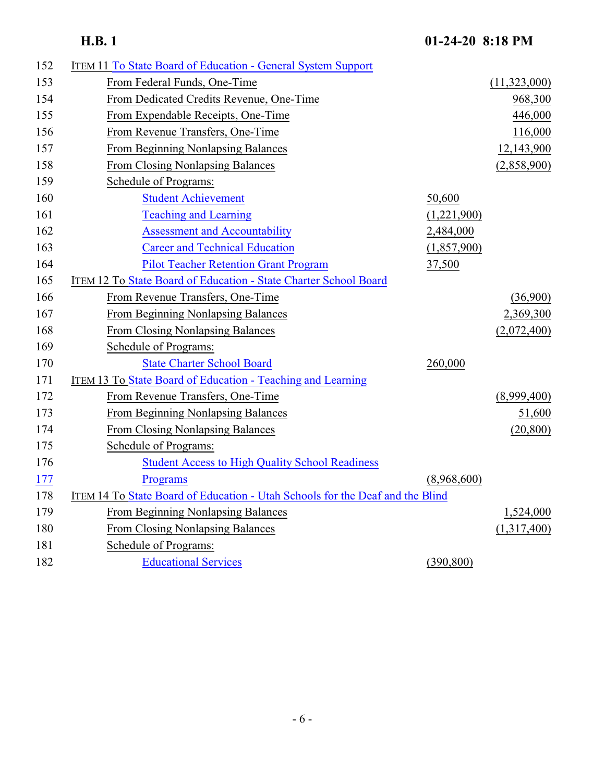| 152 | <b>ITEM 11 To State Board of Education - General System Support</b>           |             |              |
|-----|-------------------------------------------------------------------------------|-------------|--------------|
| 153 | From Federal Funds, One-Time                                                  |             | (11,323,000) |
| 154 | From Dedicated Credits Revenue, One-Time                                      |             | 968,300      |
| 155 | From Expendable Receipts, One-Time                                            |             | 446,000      |
| 156 | From Revenue Transfers, One-Time                                              |             | 116,000      |
| 157 | From Beginning Nonlapsing Balances                                            |             | 12,143,900   |
| 158 | <b>From Closing Nonlapsing Balances</b>                                       |             | (2,858,900)  |
| 159 | Schedule of Programs:                                                         |             |              |
| 160 | <b>Student Achievement</b>                                                    | 50,600      |              |
| 161 | <b>Teaching and Learning</b>                                                  | (1,221,900) |              |
| 162 | <b>Assessment and Accountability</b>                                          | 2,484,000   |              |
| 163 | <b>Career and Technical Education</b>                                         | (1,857,900) |              |
| 164 | <b>Pilot Teacher Retention Grant Program</b>                                  | 37,500      |              |
| 165 | ITEM 12 To State Board of Education - State Charter School Board              |             |              |
| 166 | From Revenue Transfers, One-Time                                              |             | (36,900)     |
| 167 | From Beginning Nonlapsing Balances                                            |             | 2,369,300    |
| 168 | <b>From Closing Nonlapsing Balances</b>                                       |             | (2,072,400)  |
| 169 | Schedule of Programs:                                                         |             |              |
| 170 | <b>State Charter School Board</b>                                             | 260,000     |              |
| 171 | ITEM 13 To State Board of Education - Teaching and Learning                   |             |              |
| 172 | From Revenue Transfers, One-Time                                              |             | (8,999,400)  |
| 173 | <b>From Beginning Nonlapsing Balances</b>                                     |             | 51,600       |
| 174 | <b>From Closing Nonlapsing Balances</b>                                       |             | (20, 800)    |
| 175 | Schedule of Programs:                                                         |             |              |
| 176 | <b>Student Access to High Quality School Readiness</b>                        |             |              |
| 177 | Programs                                                                      | (8,968,600) |              |
| 178 | ITEM 14 To State Board of Education - Utah Schools for the Deaf and the Blind |             |              |
| 179 | From Beginning Nonlapsing Balances                                            |             | 1,524,000    |
| 180 | From Closing Nonlapsing Balances                                              |             | (1,317,400)  |
| 181 | Schedule of Programs:                                                         |             |              |
| 182 | <b>Educational Services</b>                                                   | (390, 800)  |              |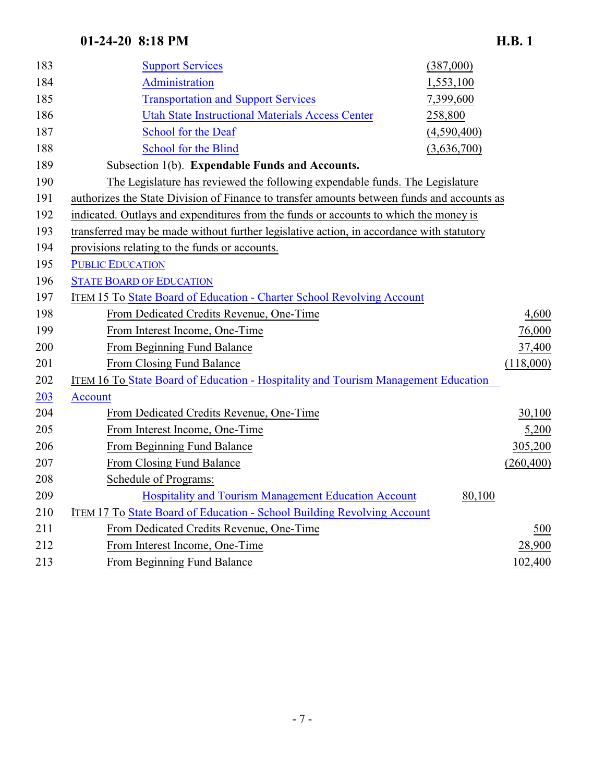| 183 | <b>Support Services</b>                                                                    | (387,000)   |            |
|-----|--------------------------------------------------------------------------------------------|-------------|------------|
| 184 | <b>Administration</b>                                                                      | 1,553,100   |            |
| 185 | <b>Transportation and Support Services</b>                                                 | 7,399,600   |            |
| 186 | <b>Utah State Instructional Materials Access Center</b>                                    | 258,800     |            |
| 187 | <b>School for the Deaf</b>                                                                 | (4,590,400) |            |
| 188 | <b>School for the Blind</b>                                                                | (3,636,700) |            |
| 189 | Subsection 1(b). Expendable Funds and Accounts.                                            |             |            |
| 190 | The Legislature has reviewed the following expendable funds. The Legislature               |             |            |
| 191 | authorizes the State Division of Finance to transfer amounts between funds and accounts as |             |            |
| 192 | indicated. Outlays and expenditures from the funds or accounts to which the money is       |             |            |
| 193 | transferred may be made without further legislative action, in accordance with statutory   |             |            |
| 194 | provisions relating to the funds or accounts.                                              |             |            |
| 195 | <b>PUBLIC EDUCATION</b>                                                                    |             |            |
| 196 | <b>STATE BOARD OF EDUCATION</b>                                                            |             |            |
| 197 | <b>ITEM 15 To State Board of Education - Charter School Revolving Account</b>              |             |            |
| 198 | From Dedicated Credits Revenue, One-Time                                                   |             | 4,600      |
| 199 | From Interest Income, One-Time                                                             |             | 76,000     |
| 200 | From Beginning Fund Balance                                                                |             | 37,400     |
| 201 | From Closing Fund Balance                                                                  |             | (118,000)  |
| 202 | <b>ITEM 16 To State Board of Education - Hospitality and Tourism Management Education</b>  |             |            |
| 203 | <b>Account</b>                                                                             |             |            |
| 204 | From Dedicated Credits Revenue, One-Time                                                   |             | 30,100     |
| 205 | From Interest Income, One-Time                                                             |             | 5,200      |
| 206 | From Beginning Fund Balance                                                                |             | 305,200    |
| 207 | From Closing Fund Balance                                                                  |             | (260, 400) |
| 208 | Schedule of Programs:                                                                      |             |            |
| 209 | <b>Hospitality and Tourism Management Education Account</b>                                | 80,100      |            |
| 210 | ITEM 17 To State Board of Education - School Building Revolving Account                    |             |            |
| 211 | From Dedicated Credits Revenue, One-Time                                                   |             | 500        |
| 212 | From Interest Income, One-Time                                                             |             | 28,900     |
| 213 | From Beginning Fund Balance                                                                |             | 102,400    |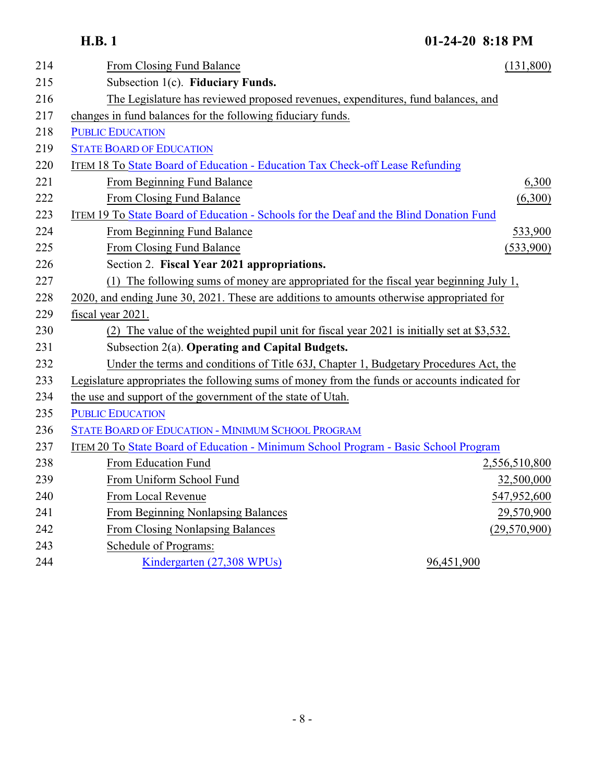| 214 | From Closing Fund Balance                                                                     | (131,800)     |
|-----|-----------------------------------------------------------------------------------------------|---------------|
| 215 | Subsection 1(c). Fiduciary Funds.                                                             |               |
| 216 | The Legislature has reviewed proposed revenues, expenditures, fund balances, and              |               |
| 217 | changes in fund balances for the following fiduciary funds.                                   |               |
| 218 | <b>PUBLIC EDUCATION</b>                                                                       |               |
| 219 | <b>STATE BOARD OF EDUCATION</b>                                                               |               |
| 220 | <b>ITEM 18 To State Board of Education - Education Tax Check-off Lease Refunding</b>          |               |
| 221 | From Beginning Fund Balance                                                                   | 6,300         |
| 222 | From Closing Fund Balance                                                                     | (6,300)       |
| 223 | ITEM 19 To State Board of Education - Schools for the Deaf and the Blind Donation Fund        |               |
| 224 | From Beginning Fund Balance                                                                   | 533,900       |
| 225 | From Closing Fund Balance                                                                     | (533,900)     |
| 226 | Section 2. Fiscal Year 2021 appropriations.                                                   |               |
| 227 | The following sums of money are appropriated for the fiscal year beginning July 1,<br>(1)     |               |
| 228 | 2020, and ending June 30, 2021. These are additions to amounts otherwise appropriated for     |               |
| 229 | fiscal year 2021.                                                                             |               |
| 230 | (2) The value of the weighted pupil unit for fiscal year 2021 is initially set at \$3,532.    |               |
| 231 | Subsection 2(a). Operating and Capital Budgets.                                               |               |
| 232 | Under the terms and conditions of Title 63J, Chapter 1, Budgetary Procedures Act, the         |               |
| 233 | Legislature appropriates the following sums of money from the funds or accounts indicated for |               |
| 234 | the use and support of the government of the state of Utah.                                   |               |
| 235 | <b>PUBLIC EDUCATION</b>                                                                       |               |
| 236 | <b>STATE BOARD OF EDUCATION - MINIMUM SCHOOL PROGRAM</b>                                      |               |
| 237 | ITEM 20 To State Board of Education - Minimum School Program - Basic School Program           |               |
| 238 | From Education Fund                                                                           | 2,556,510,800 |
| 239 | From Uniform School Fund                                                                      | 32,500,000    |
| 240 | From Local Revenue                                                                            | 547,952,600   |
| 241 | From Beginning Nonlapsing Balances                                                            | 29,570,900    |
| 242 | From Closing Nonlapsing Balances                                                              | (29,570,900)  |
| 243 | Schedule of Programs:                                                                         |               |
| 244 | Kindergarten (27,308 WPUs)                                                                    | 96,451,900    |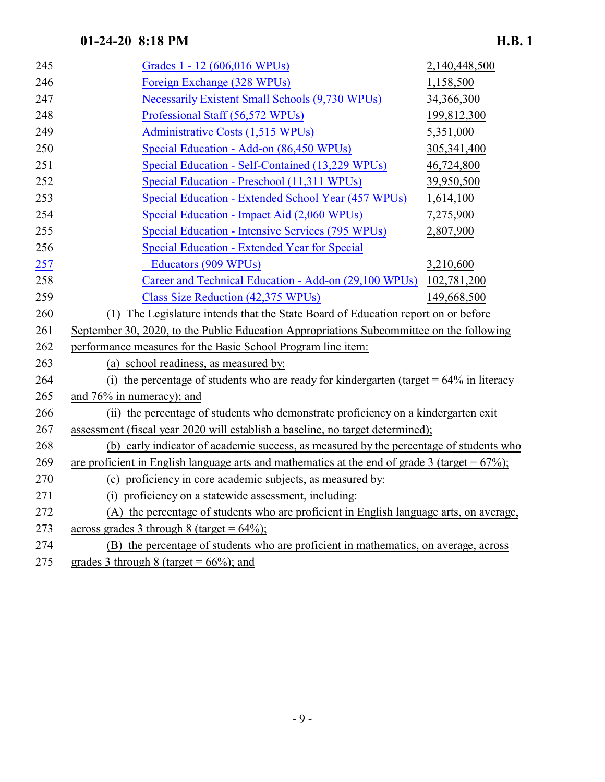| 245 | Grades 1 - 12 (606,016 WPUs)                                                                      | 2,140,448,500 |
|-----|---------------------------------------------------------------------------------------------------|---------------|
| 246 | Foreign Exchange (328 WPUs)                                                                       | 1,158,500     |
| 247 | <b>Necessarily Existent Small Schools (9,730 WPUs)</b>                                            | 34,366,300    |
| 248 | Professional Staff (56,572 WPUs)                                                                  | 199,812,300   |
| 249 | Administrative Costs (1,515 WPUs)                                                                 | 5,351,000     |
| 250 | Special Education - Add-on (86,450 WPUs)                                                          | 305, 341, 400 |
| 251 | Special Education - Self-Contained (13,229 WPUs)                                                  | 46,724,800    |
| 252 | Special Education - Preschool (11,311 WPUs)                                                       | 39,950,500    |
| 253 | Special Education - Extended School Year (457 WPUs)                                               | 1,614,100     |
| 254 | Special Education - Impact Aid (2,060 WPUs)                                                       | 7,275,900     |
| 255 | Special Education - Intensive Services (795 WPUs)                                                 | 2,807,900     |
| 256 | Special Education - Extended Year for Special                                                     |               |
| 257 | Educators (909 WPUs)                                                                              | 3,210,600     |
| 258 | Career and Technical Education - Add-on (29,100 WPUs)                                             | 102,781,200   |
| 259 | Class Size Reduction (42,375 WPUs)                                                                | 149,668,500   |
| 260 | (1) The Legislature intends that the State Board of Education report on or before                 |               |
| 261 | September 30, 2020, to the Public Education Appropriations Subcommittee on the following          |               |
| 262 | performance measures for the Basic School Program line item:                                      |               |
| 263 | (a) school readiness, as measured by:                                                             |               |
| 264 | (i) the percentage of students who are ready for kindergarten (target $= 64\%$ in literacy        |               |
| 265 | and $76\%$ in numeracy); and                                                                      |               |
| 266 | (ii) the percentage of students who demonstrate proficiency on a kindergarten exit                |               |
| 267 | assessment (fiscal year 2020 will establish a baseline, no target determined);                    |               |
| 268 | (b) early indicator of academic success, as measured by the percentage of students who            |               |
| 269 | are proficient in English language arts and mathematics at the end of grade 3 (target = $67\%$ ); |               |
| 270 | (c) proficiency in core academic subjects, as measured by:                                        |               |
| 271 | (i) proficiency on a statewide assessment, including:                                             |               |
| 272 | (A) the percentage of students who are proficient in English language arts, on average,           |               |
| 273 | across grades 3 through 8 (target = $64\%$ );                                                     |               |
| 274 | (B) the percentage of students who are proficient in mathematics, on average, across              |               |
| 275 | grades 3 through 8 (target = $66\%$ ); and                                                        |               |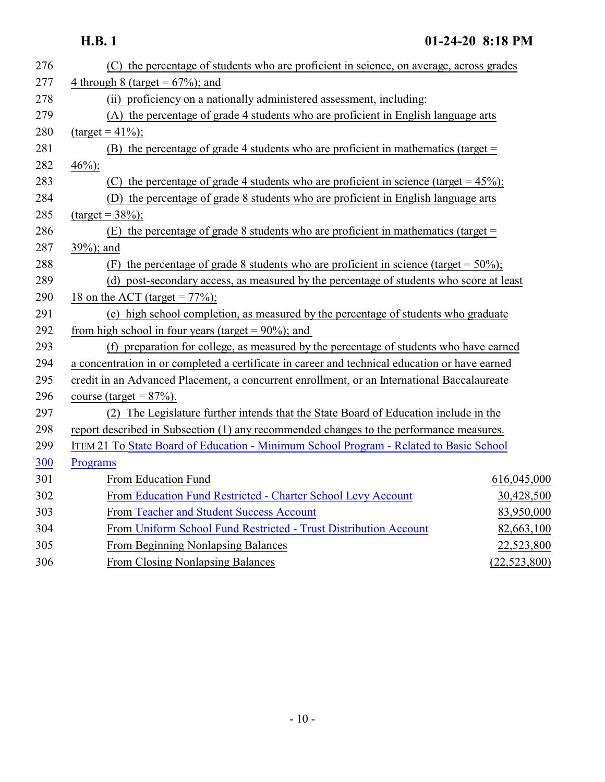| 276 | (C) the percentage of students who are proficient in science, on average, across grades        |                |  |
|-----|------------------------------------------------------------------------------------------------|----------------|--|
| 277 | 4 through 8 (target = $67\%$ ); and                                                            |                |  |
| 278 | (ii) proficiency on a nationally administered assessment, including:                           |                |  |
| 279 | (A) the percentage of grade 4 students who are proficient in English language arts             |                |  |
| 280 | $(target = 41\%).$                                                                             |                |  |
| 281 | (B) the percentage of grade 4 students who are proficient in mathematics (target $=$           |                |  |
| 282 | $46\%$ ;                                                                                       |                |  |
| 283 | (C) the percentage of grade 4 students who are proficient in science (target = $45\%$ );       |                |  |
| 284 | (D) the percentage of grade 8 students who are proficient in English language arts             |                |  |
| 285 | $(target = 38\%);$                                                                             |                |  |
| 286 | (E) the percentage of grade 8 students who are proficient in mathematics (target $=$           |                |  |
| 287 | 39%); and                                                                                      |                |  |
| 288 | (F) the percentage of grade 8 students who are proficient in science (target = $50\%$ );       |                |  |
| 289 | (d) post-secondary access, as measured by the percentage of students who score at least        |                |  |
| 290 | 18 on the ACT (target = $77\%$ );                                                              |                |  |
| 291 | (e) high school completion, as measured by the percentage of students who graduate             |                |  |
| 292 | from high school in four years (target = $90\%$ ); and                                         |                |  |
| 293 | (f) preparation for college, as measured by the percentage of students who have earned         |                |  |
| 294 | a concentration in or completed a certificate in career and technical education or have earned |                |  |
| 295 | credit in an Advanced Placement, a concurrent enrollment, or an International Baccalaureate    |                |  |
| 296 | course (target = $87\%$ ).                                                                     |                |  |
| 297 | (2) The Legislature further intends that the State Board of Education include in the           |                |  |
| 298 | report described in Subsection (1) any recommended changes to the performance measures.        |                |  |
| 299 | ITEM 21 To State Board of Education - Minimum School Program - Related to Basic School         |                |  |
| 300 | Programs                                                                                       |                |  |
| 301 | From Education Fund                                                                            | 616,045,000    |  |
| 302 | From Education Fund Restricted - Charter School Levy Account                                   | 30,428,500     |  |
| 303 | From Teacher and Student Success Account                                                       | 83,950,000     |  |
| 304 | From Uniform School Fund Restricted - Trust Distribution Account                               | 82,663,100     |  |
| 305 | From Beginning Nonlapsing Balances                                                             | 22,523,800     |  |
| 306 | From Closing Nonlapsing Balances                                                               | (22, 523, 800) |  |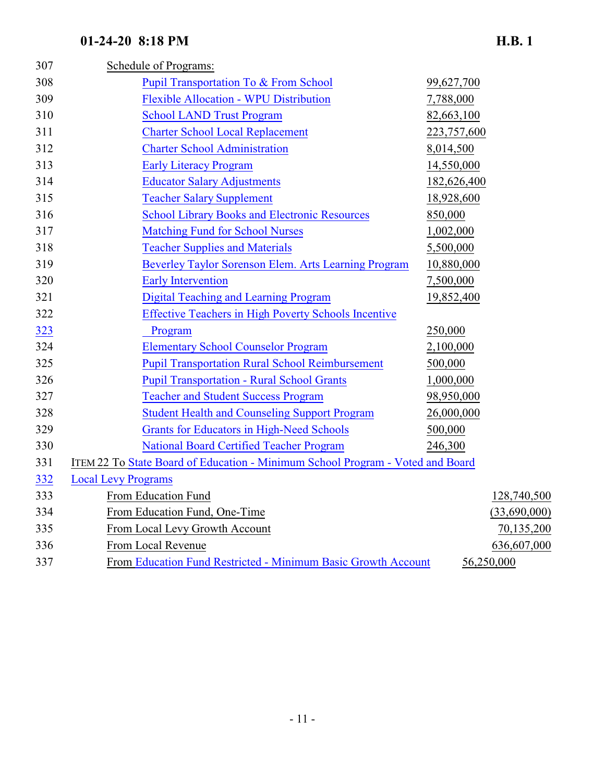| 307 | Schedule of Programs:                                                          |             |              |
|-----|--------------------------------------------------------------------------------|-------------|--------------|
| 308 | <b>Pupil Transportation To &amp; From School</b>                               | 99,627,700  |              |
| 309 | <b>Flexible Allocation - WPU Distribution</b>                                  | 7,788,000   |              |
| 310 | <b>School LAND Trust Program</b>                                               | 82,663,100  |              |
| 311 | <b>Charter School Local Replacement</b>                                        | 223,757,600 |              |
| 312 | <b>Charter School Administration</b>                                           | 8,014,500   |              |
| 313 | <b>Early Literacy Program</b>                                                  | 14,550,000  |              |
| 314 | <b>Educator Salary Adjustments</b>                                             | 182,626,400 |              |
| 315 | <b>Teacher Salary Supplement</b>                                               | 18,928,600  |              |
| 316 | <b>School Library Books and Electronic Resources</b>                           | 850,000     |              |
| 317 | <b>Matching Fund for School Nurses</b>                                         | 1,002,000   |              |
| 318 | <b>Teacher Supplies and Materials</b>                                          | 5,500,000   |              |
| 319 | Beverley Taylor Sorenson Elem. Arts Learning Program                           | 10,880,000  |              |
| 320 | <b>Early Intervention</b>                                                      | 7,500,000   |              |
| 321 | <b>Digital Teaching and Learning Program</b>                                   | 19,852,400  |              |
| 322 | <b>Effective Teachers in High Poverty Schools Incentive</b>                    |             |              |
| 323 | Program                                                                        | 250,000     |              |
| 324 | <b>Elementary School Counselor Program</b>                                     | 2,100,000   |              |
| 325 | <b>Pupil Transportation Rural School Reimbursement</b>                         | 500,000     |              |
| 326 | <b>Pupil Transportation - Rural School Grants</b>                              | 1,000,000   |              |
| 327 | <b>Teacher and Student Success Program</b>                                     | 98,950,000  |              |
| 328 | <b>Student Health and Counseling Support Program</b>                           | 26,000,000  |              |
| 329 | <b>Grants for Educators in High-Need Schools</b>                               | 500,000     |              |
| 330 | <b>National Board Certified Teacher Program</b>                                | 246,300     |              |
| 331 | ITEM 22 To State Board of Education - Minimum School Program - Voted and Board |             |              |
| 332 | <b>Local Levy Programs</b>                                                     |             |              |
| 333 | From Education Fund                                                            |             | 128,740,500  |
| 334 | From Education Fund, One-Time                                                  |             | (33,690,000) |
| 335 | From Local Levy Growth Account                                                 |             | 70,135,200   |
| 336 | From Local Revenue                                                             |             | 636,607,000  |

337 From [Education Fund Restricted - Minimum Basic Growth Account](https://cobi.utah.gov/fund/2435) 56,250,000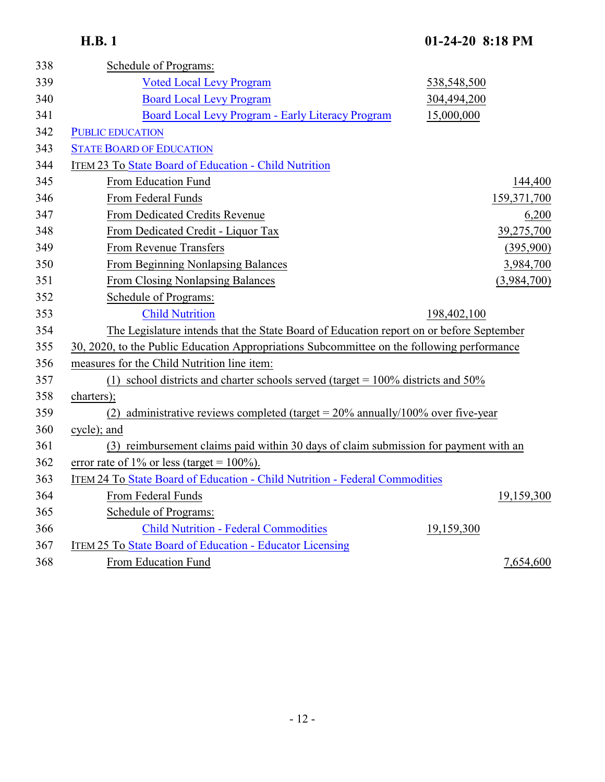| 338 | Schedule of Programs:                                                                      |             |             |
|-----|--------------------------------------------------------------------------------------------|-------------|-------------|
| 339 | <b>Voted Local Levy Program</b>                                                            | 538,548,500 |             |
| 340 | <b>Board Local Levy Program</b>                                                            | 304,494,200 |             |
| 341 | Board Local Levy Program - Early Literacy Program                                          | 15,000,000  |             |
| 342 | <b>PUBLIC EDUCATION</b>                                                                    |             |             |
| 343 | <b>STATE BOARD OF EDUCATION</b>                                                            |             |             |
| 344 | <b>ITEM 23 To State Board of Education - Child Nutrition</b>                               |             |             |
| 345 | From Education Fund                                                                        |             | 144,400     |
| 346 | From Federal Funds                                                                         |             | 159,371,700 |
| 347 | From Dedicated Credits Revenue                                                             |             | 6,200       |
| 348 | From Dedicated Credit - Liquor Tax                                                         |             | 39,275,700  |
| 349 | From Revenue Transfers                                                                     |             | (395,900)   |
| 350 | From Beginning Nonlapsing Balances                                                         |             | 3,984,700   |
| 351 | From Closing Nonlapsing Balances                                                           |             | (3,984,700) |
| 352 | Schedule of Programs:                                                                      |             |             |
| 353 | <b>Child Nutrition</b>                                                                     | 198,402,100 |             |
| 354 | The Legislature intends that the State Board of Education report on or before September    |             |             |
| 355 | 30, 2020, to the Public Education Appropriations Subcommittee on the following performance |             |             |
| 356 | measures for the Child Nutrition line item:                                                |             |             |
| 357 | (1) school districts and charter schools served (target = $100\%$ districts and $50\%$     |             |             |
| 358 | charters);                                                                                 |             |             |
| 359 | (2) administrative reviews completed (target = $20\%$ annually/100% over five-year         |             |             |
| 360 | cycle); and                                                                                |             |             |
| 361 | (3) reimbursement claims paid within 30 days of claim submission for payment with an       |             |             |
| 362 | error rate of 1% or less (target = $100\%$ ).                                              |             |             |
| 363 | ITEM 24 To State Board of Education - Child Nutrition - Federal Commodities                |             |             |
| 364 | From Federal Funds                                                                         |             | 19,159,300  |
| 365 | Schedule of Programs:                                                                      |             |             |
| 366 | <b>Child Nutrition - Federal Commodities</b>                                               | 19,159,300  |             |
| 367 | ITEM 25 To State Board of Education - Educator Licensing                                   |             |             |
| 368 | From Education Fund                                                                        |             | 7,654,600   |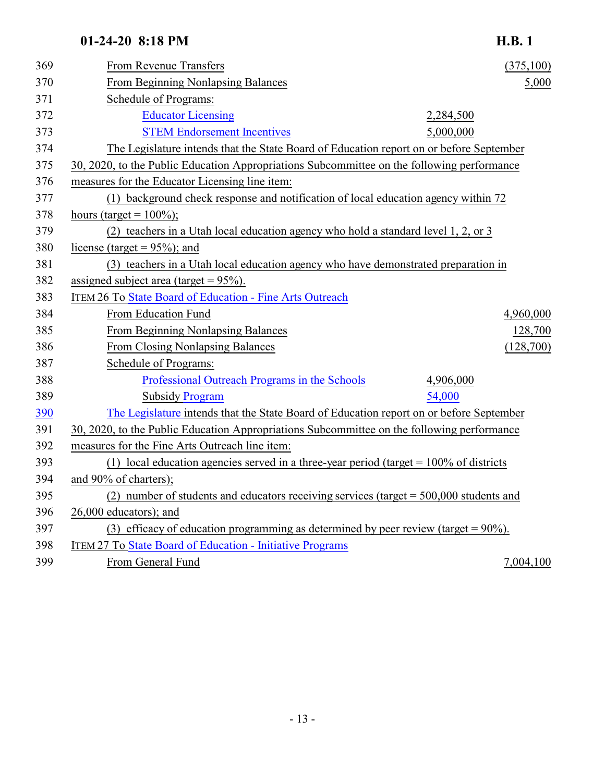### From Revenue Transfers (375,100) 370 From Beginning Nonlapsing Balances 5,000 Schedule of Programs: [Educator Licensing](https://cobi.utah.gov/2020/299/overview) 2,284,500 [STEM Endorsement Incentives](https://cobi.utah.gov/2020/3171/overview) 5,000,000 The Legislature intends that the State Board of Education report on or before September 30, 2020, to the Public Education Appropriations Subcommittee on the following performance measures for the Educator Licensing line item: (1) background check response and notification of local education agency within 72 378 hours (target =  $100\%$ ); (2) teachers in a Utah local education agency who hold a standard level 1, 2, or 3 380 license (target =  $95\%$ ); and (3) teachers in a Utah local education agency who have demonstrated preparation in 382 assigned subject area (target =  $95\%$ ). 383 ITEM 26 To [State Board of Education - Fine Arts Outreach](https://cobi.utah.gov/2020/301/overview) From Education Fund 4,960,000 From Beginning Nonlapsing Balances 128,700 From Closing Nonlapsing Balances (128,700) Schedule of Programs: [Professional Outreach Programs in the Schools](https://cobi.utah.gov/2020/1585/overview) 4,906,000 Subsidy [Program](https://cobi.utah.gov/2020/1584/overview) 54,000 [The Legislature](https://cobi.utah.gov/2020/1584/overview) intends that the State Board of Education report on or before September 30, 2020, to the Public Education Appropriations Subcommittee on the following performance measures for the Fine Arts Outreach line item: (1) local education agencies served in a three-year period (target = 100% of districts and 90% of charters); (2) number of students and educators receiving services (target = 500,000 students and 26,000 educators); and (3) efficacy of education programming as determined by peer review (target = 90%).

- ITEM 27 To [State Board of Education Initiative Programs](https://cobi.utah.gov/2020/285/overview)
- From General Fund 7,004,100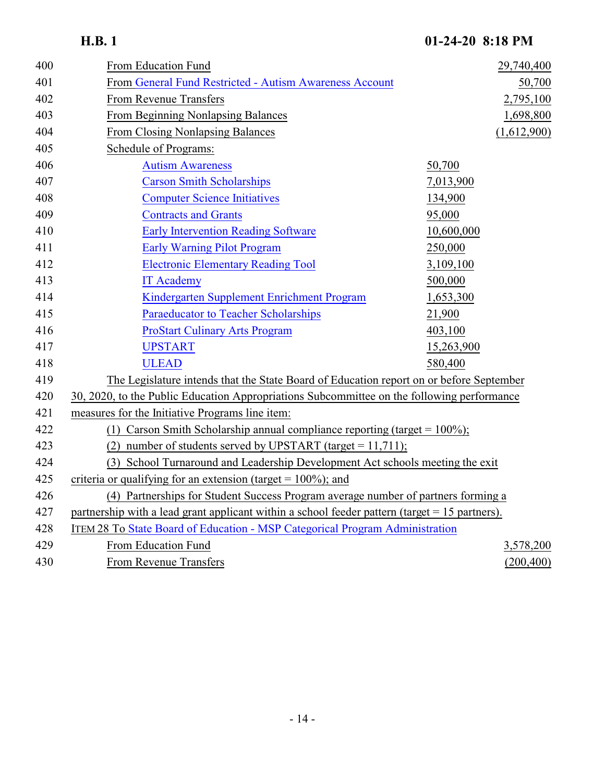| 400 | From Education Fund                                                                              | 29,740,400  |
|-----|--------------------------------------------------------------------------------------------------|-------------|
| 401 | From General Fund Restricted - Autism Awareness Account                                          | 50,700      |
| 402 | From Revenue Transfers                                                                           | 2,795,100   |
| 403 | From Beginning Nonlapsing Balances                                                               | 1,698,800   |
| 404 | From Closing Nonlapsing Balances                                                                 | (1,612,900) |
| 405 | Schedule of Programs:                                                                            |             |
| 406 | <b>Autism Awareness</b>                                                                          | 50,700      |
| 407 | <b>Carson Smith Scholarships</b>                                                                 | 7,013,900   |
| 408 | <b>Computer Science Initiatives</b>                                                              | 134,900     |
| 409 | <b>Contracts and Grants</b>                                                                      | 95,000      |
| 410 | <b>Early Intervention Reading Software</b>                                                       | 10,600,000  |
| 411 | <b>Early Warning Pilot Program</b>                                                               | 250,000     |
| 412 | <b>Electronic Elementary Reading Tool</b>                                                        | 3,109,100   |
| 413 | <b>IT Academy</b>                                                                                | 500,000     |
| 414 | Kindergarten Supplement Enrichment Program                                                       | 1,653,300   |
| 415 | <b>Paraeducator to Teacher Scholarships</b>                                                      | 21,900      |
| 416 | <b>ProStart Culinary Arts Program</b>                                                            | 403,100     |
| 417 | <b>UPSTART</b>                                                                                   | 15,263,900  |
| 418 | <b>ULEAD</b>                                                                                     | 580,400     |
| 419 | The Legislature intends that the State Board of Education report on or before September          |             |
| 420 | 30, 2020, to the Public Education Appropriations Subcommittee on the following performance       |             |
| 421 | measures for the Initiative Programs line item:                                                  |             |
| 422 | (1) Carson Smith Scholarship annual compliance reporting (target = $100\%$ );                    |             |
| 423 | (2) number of students served by UPSTART (target = $11,711$ );                                   |             |
| 424 | (3) School Turnaround and Leadership Development Act schools meeting the exit                    |             |
| 425 | criteria or qualifying for an extension (target = $100\%$ ); and                                 |             |
| 426 | (4) Partnerships for Student Success Program average number of partners forming a                |             |
| 427 | partnership with a lead grant applicant within a school feeder pattern (target $= 15$ partners). |             |
| 428 | ITEM 28 To State Board of Education - MSP Categorical Program Administration                     |             |
| 429 | From Education Fund                                                                              | 3,578,200   |
| 430 | <b>From Revenue Transfers</b>                                                                    | (200, 400)  |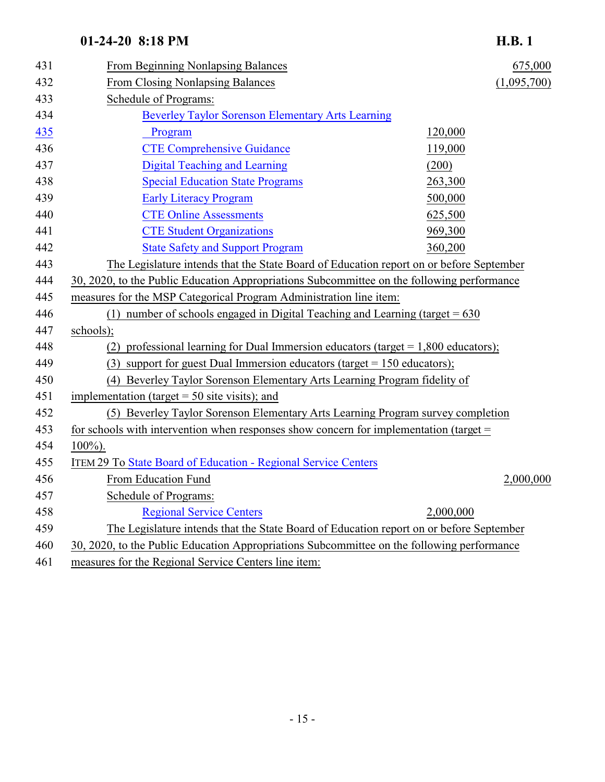### 01-24-20 8:18 PM

| п<br>υ. |  |
|---------|--|
|---------|--|

| 431 | From Beginning Nonlapsing Balances                                                         | 675,000     |
|-----|--------------------------------------------------------------------------------------------|-------------|
| 432 | From Closing Nonlapsing Balances                                                           | (1,095,700) |
| 433 | Schedule of Programs:                                                                      |             |
| 434 | <b>Beverley Taylor Sorenson Elementary Arts Learning</b>                                   |             |
| 435 | Program                                                                                    | 120,000     |
| 436 | <b>CTE Comprehensive Guidance</b>                                                          | 119,000     |
| 437 | <b>Digital Teaching and Learning</b>                                                       | (200)       |
| 438 | <b>Special Education State Programs</b>                                                    | 263,300     |
| 439 | <b>Early Literacy Program</b>                                                              | 500,000     |
| 440 | <b>CTE Online Assessments</b>                                                              | 625,500     |
| 441 | <b>CTE Student Organizations</b>                                                           | 969,300     |
| 442 | <b>State Safety and Support Program</b>                                                    | 360,200     |
| 443 | The Legislature intends that the State Board of Education report on or before September    |             |
| 444 | 30, 2020, to the Public Education Appropriations Subcommittee on the following performance |             |
| 445 | measures for the MSP Categorical Program Administration line item:                         |             |
| 446 | (1) number of schools engaged in Digital Teaching and Learning (target $= 630$             |             |
| 447 | schools);                                                                                  |             |
| 448 | (2) professional learning for Dual Immersion educators (target $= 1,800$ educators);       |             |
| 449 | (3) support for guest Dual Immersion educators (target = $150$ educators);                 |             |
| 450 | (4) Beverley Taylor Sorenson Elementary Arts Learning Program fidelity of                  |             |
| 451 | implementation (target $=$ 50 site visits); and                                            |             |
| 452 | (5) Beverley Taylor Sorenson Elementary Arts Learning Program survey completion            |             |
| 453 | for schools with intervention when responses show concern for implementation (target $=$   |             |
| 454 | $100\%$ ).                                                                                 |             |
| 455 | <b>ITEM 29 To State Board of Education - Regional Service Centers</b>                      |             |
| 456 | From Education Fund                                                                        | 2,000,000   |
| 457 | Schedule of Programs:                                                                      |             |
| 458 | <b>Regional Service Centers</b>                                                            | 2,000,000   |
| 459 | The Legislature intends that the State Board of Education report on or before September    |             |
| 460 | 30, 2020, to the Public Education Appropriations Subcommittee on the following performance |             |
| 461 | measures for the Regional Service Centers line item:                                       |             |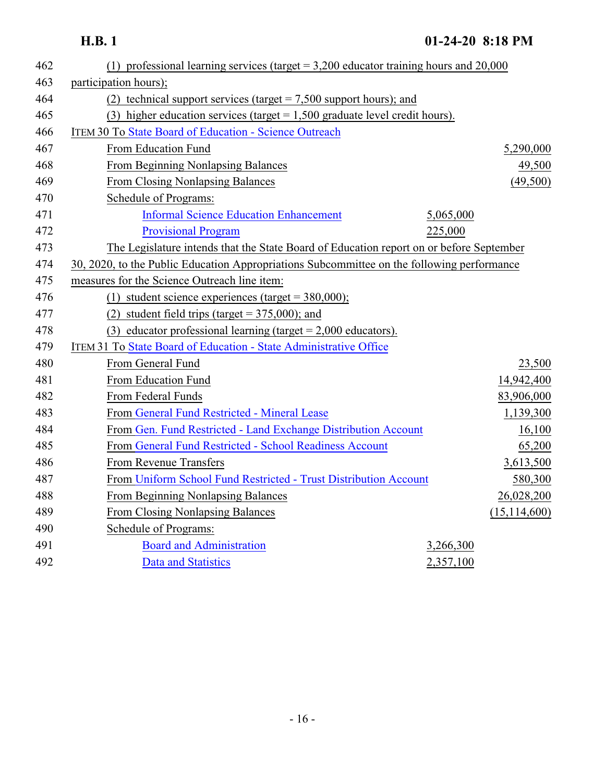| 462 | (1) professional learning services (target $= 3,200$ educator training hours and 20,000    |                |
|-----|--------------------------------------------------------------------------------------------|----------------|
| 463 | participation hours);                                                                      |                |
| 464 | (2) technical support services (target $= 7,500$ support hours); and                       |                |
| 465 | (3) higher education services (target $= 1,500$ graduate level credit hours).              |                |
| 466 | <b>ITEM 30 To State Board of Education - Science Outreach</b>                              |                |
| 467 | From Education Fund                                                                        | 5,290,000      |
| 468 | <b>From Beginning Nonlapsing Balances</b>                                                  | 49,500         |
| 469 | <b>From Closing Nonlapsing Balances</b>                                                    | (49,500)       |
| 470 | Schedule of Programs:                                                                      |                |
| 471 | <b>Informal Science Education Enhancement</b>                                              | 5,065,000      |
| 472 | <b>Provisional Program</b>                                                                 | 225,000        |
| 473 | The Legislature intends that the State Board of Education report on or before September    |                |
| 474 | 30, 2020, to the Public Education Appropriations Subcommittee on the following performance |                |
| 475 | measures for the Science Outreach line item:                                               |                |
| 476 | (1) student science experiences (target = $380,000$ );                                     |                |
| 477 | (2) student field trips (target = $375,000$ ); and                                         |                |
| 478 | (3) educator professional learning (target $= 2,000$ educators).                           |                |
| 479 | ITEM 31 To State Board of Education - State Administrative Office                          |                |
| 480 | From General Fund                                                                          | 23,500         |
| 481 | From Education Fund                                                                        | 14,942,400     |
| 482 | From Federal Funds                                                                         | 83,906,000     |
| 483 | From General Fund Restricted - Mineral Lease                                               | 1,139,300      |
| 484 | From Gen. Fund Restricted - Land Exchange Distribution Account                             | 16,100         |
| 485 | From General Fund Restricted - School Readiness Account                                    | 65,200         |
| 486 | From Revenue Transfers                                                                     | 3,613,500      |
| 487 | From Uniform School Fund Restricted - Trust Distribution Account                           | 580,300        |
| 488 | <b>From Beginning Nonlapsing Balances</b>                                                  | 26,028,200     |
| 489 | <b>From Closing Nonlapsing Balances</b>                                                    | (15, 114, 600) |
| 490 | <b>Schedule of Programs:</b>                                                               |                |
| 491 | <b>Board and Administration</b>                                                            | 3,266,300      |
| 492 | <b>Data and Statistics</b>                                                                 | 2,357,100      |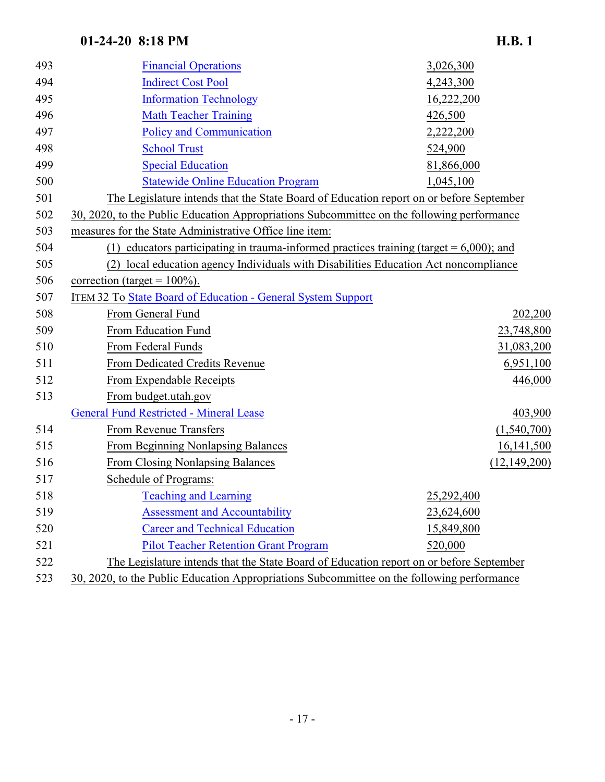| 493 | <b>Financial Operations</b>                                                                   | 3,026,300      |
|-----|-----------------------------------------------------------------------------------------------|----------------|
| 494 | <b>Indirect Cost Pool</b>                                                                     | 4,243,300      |
| 495 | <b>Information Technology</b>                                                                 | 16,222,200     |
| 496 | <b>Math Teacher Training</b>                                                                  | 426,500        |
| 497 | <b>Policy and Communication</b>                                                               | 2,222,200      |
| 498 | <b>School Trust</b>                                                                           | 524,900        |
| 499 | <b>Special Education</b>                                                                      | 81,866,000     |
| 500 | <b>Statewide Online Education Program</b>                                                     | 1,045,100      |
| 501 | The Legislature intends that the State Board of Education report on or before September       |                |
| 502 | 30, 2020, to the Public Education Appropriations Subcommittee on the following performance    |                |
| 503 | measures for the State Administrative Office line item:                                       |                |
| 504 | educators participating in trauma-informed practices training (target $= 6,000$ ); and<br>(1) |                |
| 505 | local education agency Individuals with Disabilities Education Act noncompliance<br>(2)       |                |
| 506 | correction (target = $100\%$ ).                                                               |                |
| 507 | <b>ITEM 32 To State Board of Education - General System Support</b>                           |                |
| 508 | From General Fund                                                                             | 202,200        |
| 509 | From Education Fund                                                                           | 23,748,800     |
| 510 | From Federal Funds                                                                            | 31,083,200     |
| 511 | From Dedicated Credits Revenue                                                                | 6,951,100      |
| 512 | From Expendable Receipts                                                                      | 446,000        |
| 513 | From budget.utah.gov                                                                          |                |
|     | <b>General Fund Restricted - Mineral Lease</b>                                                | 403,900        |
| 514 | From Revenue Transfers                                                                        | (1,540,700)    |
| 515 | From Beginning Nonlapsing Balances                                                            | 16,141,500     |
| 516 | <b>From Closing Nonlapsing Balances</b>                                                       | (12, 149, 200) |
| 517 | Schedule of Programs:                                                                         |                |
| 518 | <b>Teaching and Learning</b>                                                                  | 25,292,400     |
| 519 | <b>Assessment and Accountability</b>                                                          | 23,624,600     |
| 520 | <b>Career and Technical Education</b>                                                         | 15,849,800     |
| 521 | <b>Pilot Teacher Retention Grant Program</b>                                                  | 520,000        |
| 522 | The Legislature intends that the State Board of Education report on or before September       |                |
| 523 | 30, 2020, to the Public Education Appropriations Subcommittee on the following performance    |                |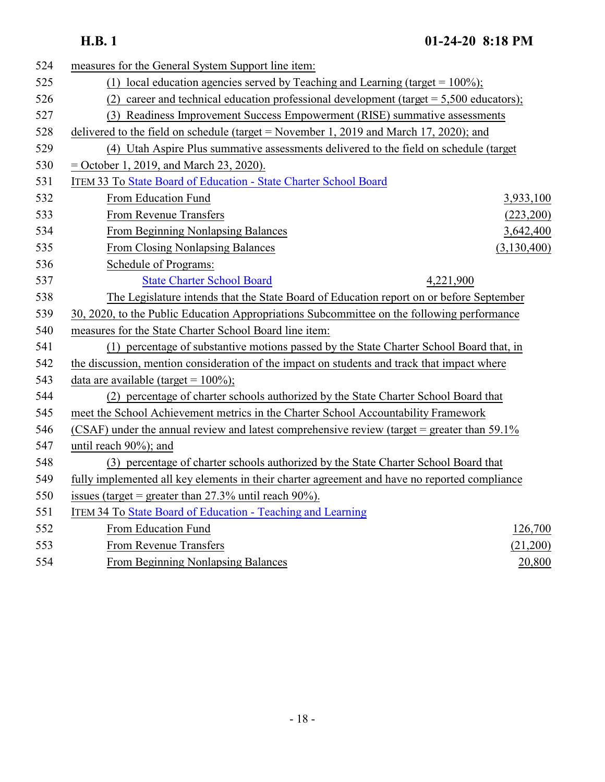| 524 | measures for the General System Support line item:                                            |  |
|-----|-----------------------------------------------------------------------------------------------|--|
| 525 | (1) local education agencies served by Teaching and Learning (target = $100\%$ );             |  |
| 526 | career and technical education professional development (target $= 5,500$ educators);<br>(2)  |  |
| 527 | (3) Readiness Improvement Success Empowerment (RISE) summative assessments                    |  |
| 528 | delivered to the field on schedule (target = November 1, 2019 and March 17, 2020); and        |  |
| 529 | (4) Utah Aspire Plus summative assessments delivered to the field on schedule (target         |  |
| 530 | $=$ October 1, 2019, and March 23, 2020).                                                     |  |
| 531 | ITEM 33 To State Board of Education - State Charter School Board                              |  |
| 532 | From Education Fund<br>3,933,100                                                              |  |
| 533 | From Revenue Transfers<br>(223,200)                                                           |  |
| 534 | <b>From Beginning Nonlapsing Balances</b><br>3,642,400                                        |  |
| 535 | <b>From Closing Nonlapsing Balances</b><br>(3,130,400)                                        |  |
| 536 | Schedule of Programs:                                                                         |  |
| 537 | <b>State Charter School Board</b><br>4,221,900                                                |  |
| 538 | The Legislature intends that the State Board of Education report on or before September       |  |
| 539 | 30, 2020, to the Public Education Appropriations Subcommittee on the following performance    |  |
| 540 | measures for the State Charter School Board line item:                                        |  |
| 541 | (1) percentage of substantive motions passed by the State Charter School Board that, in       |  |
| 542 | the discussion, mention consideration of the impact on students and track that impact where   |  |
| 543 | data are available (target = $100\%$ );                                                       |  |
| 544 | (2) percentage of charter schools authorized by the State Charter School Board that           |  |
| 545 | meet the School Achievement metrics in the Charter School Accountability Framework            |  |
| 546 | (CSAF) under the annual review and latest comprehensive review (target = greater than 59.1%)  |  |
| 547 | until reach $90\%$ ; and                                                                      |  |
| 548 | (3) percentage of charter schools authorized by the State Charter School Board that           |  |
| 549 | fully implemented all key elements in their charter agreement and have no reported compliance |  |
| 550 | issues (target = greater than $27.3\%$ until reach $90\%$ ).                                  |  |
| 551 | ITEM 34 To State Board of Education - Teaching and Learning                                   |  |
| 552 | From Education Fund<br>126,700                                                                |  |
| 553 | From Revenue Transfers<br>(21,200)                                                            |  |
| 554 | <b>From Beginning Nonlapsing Balances</b><br>20,800                                           |  |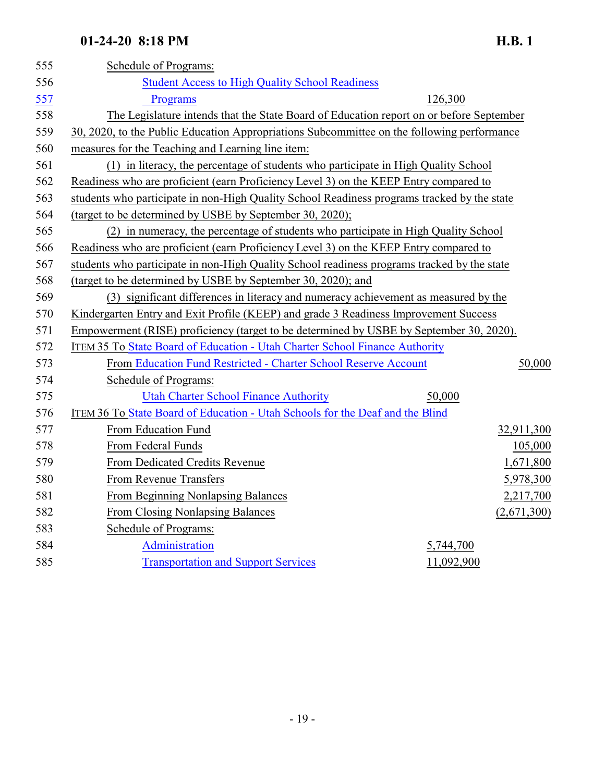| 555 | Schedule of Programs:                                                                       |             |  |
|-----|---------------------------------------------------------------------------------------------|-------------|--|
| 556 | <b>Student Access to High Quality School Readiness</b>                                      |             |  |
| 557 | Programs                                                                                    | 126,300     |  |
| 558 | The Legislature intends that the State Board of Education report on or before September     |             |  |
| 559 | 30, 2020, to the Public Education Appropriations Subcommittee on the following performance  |             |  |
| 560 | measures for the Teaching and Learning line item:                                           |             |  |
| 561 | (1) in literacy, the percentage of students who participate in High Quality School          |             |  |
| 562 | Readiness who are proficient (earn Proficiency Level 3) on the KEEP Entry compared to       |             |  |
| 563 | students who participate in non-High Quality School Readiness programs tracked by the state |             |  |
| 564 | (target to be determined by USBE by September 30, 2020);                                    |             |  |
| 565 | (2) in numeracy, the percentage of students who participate in High Quality School          |             |  |
| 566 | Readiness who are proficient (earn Proficiency Level 3) on the KEEP Entry compared to       |             |  |
| 567 | students who participate in non-High Quality School readiness programs tracked by the state |             |  |
| 568 | (target to be determined by USBE by September 30, 2020); and                                |             |  |
| 569 | (3) significant differences in literacy and numeracy achievement as measured by the         |             |  |
| 570 | Kindergarten Entry and Exit Profile (KEEP) and grade 3 Readiness Improvement Success        |             |  |
| 571 | Empowerment (RISE) proficiency (target to be determined by USBE by September 30, 2020).     |             |  |
| 572 | ITEM 35 To State Board of Education - Utah Charter School Finance Authority                 |             |  |
| 573 | From Education Fund Restricted - Charter School Reserve Account                             | 50,000      |  |
| 574 | Schedule of Programs:                                                                       |             |  |
| 575 | <b>Utah Charter School Finance Authority</b>                                                | 50,000      |  |
| 576 | <b>ITEM 36 To State Board of Education - Utah Schools for the Deaf and the Blind</b>        |             |  |
| 577 | From Education Fund                                                                         | 32,911,300  |  |
| 578 | From Federal Funds                                                                          | 105,000     |  |
| 579 | From Dedicated Credits Revenue                                                              | 1,671,800   |  |
| 580 | From Revenue Transfers                                                                      | 5,978,300   |  |
| 581 | From Beginning Nonlapsing Balances                                                          | 2,217,700   |  |
| 582 | From Closing Nonlapsing Balances                                                            | (2,671,300) |  |
| 583 | Schedule of Programs:                                                                       |             |  |
| 584 | Administration                                                                              | 5,744,700   |  |
| 585 | <b>Transportation and Support Services</b>                                                  | 11,092,900  |  |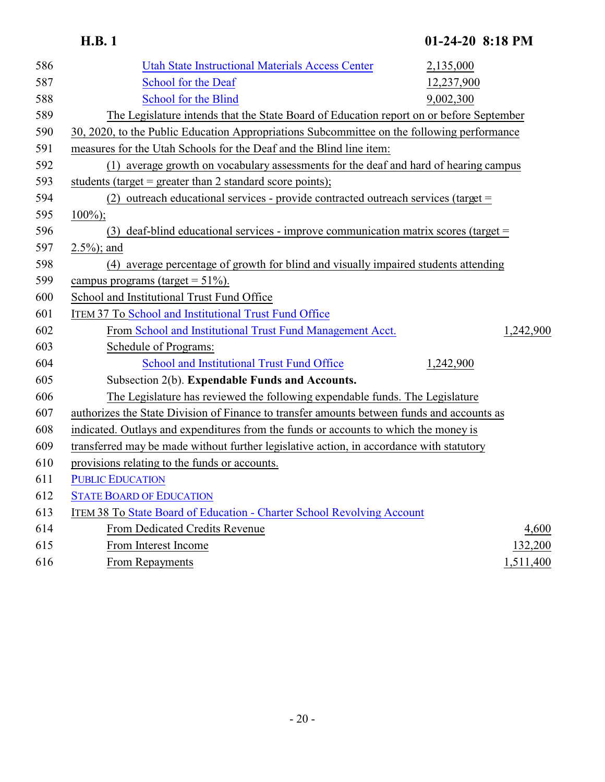| 586 | <b>Utah State Instructional Materials Access Center</b><br>2,135,000                       |
|-----|--------------------------------------------------------------------------------------------|
| 587 | School for the Deaf<br>12,237,900                                                          |
| 588 | <b>School for the Blind</b><br>9,002,300                                                   |
| 589 | The Legislature intends that the State Board of Education report on or before September    |
| 590 | 30, 2020, to the Public Education Appropriations Subcommittee on the following performance |
| 591 | measures for the Utah Schools for the Deaf and the Blind line item:                        |
| 592 | (1) average growth on vocabulary assessments for the deaf and hard of hearing campus       |
| 593 | students (target = greater than 2 standard score points);                                  |
| 594 | (2) outreach educational services - provide contracted outreach services (target =         |
| 595 | $100\%$ ;                                                                                  |
| 596 | (3) deaf-blind educational services - improve communication matrix scores (target $=$      |
| 597 | $2.5\%$ ; and                                                                              |
| 598 | (4) average percentage of growth for blind and visually impaired students attending        |
| 599 | campus programs (target = $51\%$ ).                                                        |
| 600 | School and Institutional Trust Fund Office                                                 |
| 601 | ITEM 37 To School and Institutional Trust Fund Office                                      |
| 602 | From School and Institutional Trust Fund Management Acct.<br>1,242,900                     |
| 603 | Schedule of Programs:                                                                      |
| 604 | School and Institutional Trust Fund Office<br>1,242,900                                    |
| 605 | Subsection 2(b). Expendable Funds and Accounts.                                            |
| 606 | The Legislature has reviewed the following expendable funds. The Legislature               |
| 607 | authorizes the State Division of Finance to transfer amounts between funds and accounts as |
| 608 | indicated. Outlays and expenditures from the funds or accounts to which the money is       |
| 609 | transferred may be made without further legislative action, in accordance with statutory   |
| 610 | provisions relating to the funds or accounts.                                              |
| 611 | <b>PUBLIC EDUCATION</b>                                                                    |
| 612 | <b>STATE BOARD OF EDUCATION</b>                                                            |
| 613 | ITEM 38 To State Board of Education - Charter School Revolving Account                     |
| 614 | From Dedicated Credits Revenue<br>4,600                                                    |
| 615 | From Interest Income<br>132,200                                                            |
| 616 | From Repayments<br>1,511,400                                                               |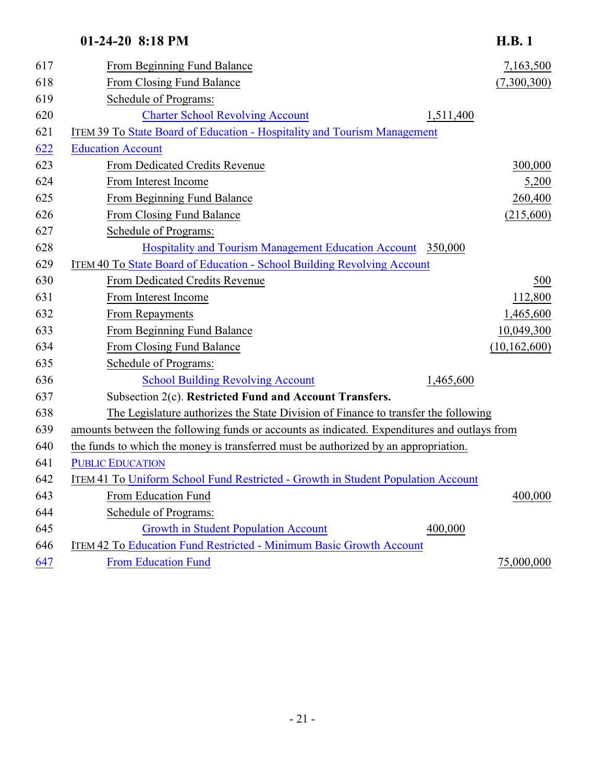| 617 | From Beginning Fund Balance                                                                 | 7,163,500      |
|-----|---------------------------------------------------------------------------------------------|----------------|
| 618 | From Closing Fund Balance                                                                   | (7,300,300)    |
| 619 | Schedule of Programs:                                                                       |                |
| 620 | <b>Charter School Revolving Account</b><br>1,511,400                                        |                |
| 621 | ITEM 39 To State Board of Education - Hospitality and Tourism Management                    |                |
| 622 | <b>Education Account</b>                                                                    |                |
| 623 | From Dedicated Credits Revenue                                                              | 300,000        |
| 624 | From Interest Income                                                                        | 5,200          |
| 625 | From Beginning Fund Balance                                                                 | 260,400        |
| 626 | From Closing Fund Balance                                                                   | (215,600)      |
| 627 | Schedule of Programs:                                                                       |                |
| 628 | Hospitality and Tourism Management Education Account 350,000                                |                |
| 629 | ITEM 40 To State Board of Education - School Building Revolving Account                     |                |
| 630 | From Dedicated Credits Revenue                                                              | 500            |
| 631 | From Interest Income                                                                        | 112,800        |
| 632 | From Repayments                                                                             | 1,465,600      |
| 633 | From Beginning Fund Balance                                                                 | 10,049,300     |
| 634 | From Closing Fund Balance                                                                   | (10, 162, 600) |
| 635 | <b>Schedule of Programs:</b>                                                                |                |
| 636 | <b>School Building Revolving Account</b><br>1,465,600                                       |                |
| 637 | Subsection 2(c). Restricted Fund and Account Transfers.                                     |                |
| 638 | The Legislature authorizes the State Division of Finance to transfer the following          |                |
| 639 | amounts between the following funds or accounts as indicated. Expenditures and outlays from |                |
| 640 | the funds to which the money is transferred must be authorized by an appropriation.         |                |
| 641 | <b>PUBLIC EDUCATION</b>                                                                     |                |
| 642 | ITEM 41 To Uniform School Fund Restricted - Growth in Student Population Account            |                |
| 643 | From Education Fund                                                                         | 400,000        |
| 644 | Schedule of Programs:                                                                       |                |
| 645 | <b>Growth in Student Population Account</b><br>400,000                                      |                |
| 646 | ITEM 42 To Education Fund Restricted - Minimum Basic Growth Account                         |                |
| 647 | <b>From Education Fund</b>                                                                  | 75,000,000     |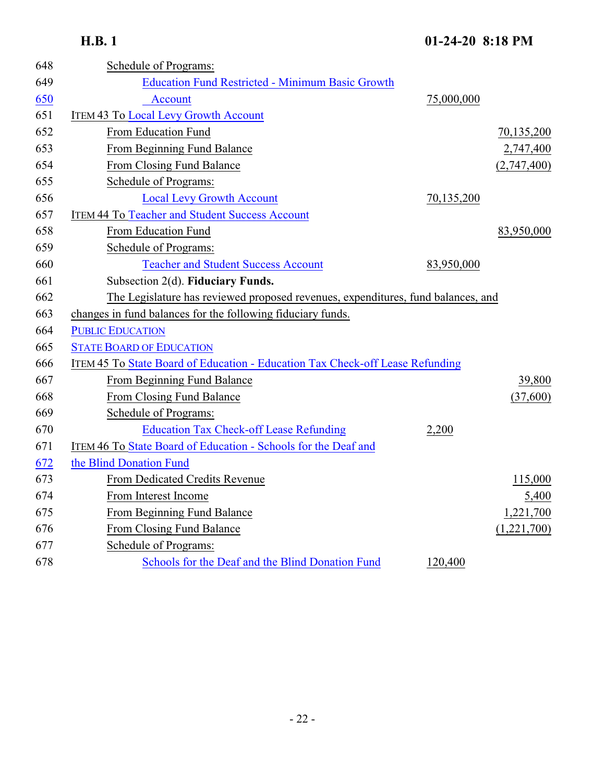| 648 | Schedule of Programs:                                                            |            |             |
|-----|----------------------------------------------------------------------------------|------------|-------------|
| 649 | <b>Education Fund Restricted - Minimum Basic Growth</b>                          |            |             |
| 650 | <b>Account</b>                                                                   | 75,000,000 |             |
| 651 | <b>ITEM 43 To Local Levy Growth Account</b>                                      |            |             |
| 652 | From Education Fund                                                              |            | 70,135,200  |
| 653 | From Beginning Fund Balance                                                      |            | 2,747,400   |
| 654 | From Closing Fund Balance                                                        |            | (2,747,400) |
| 655 | Schedule of Programs:                                                            |            |             |
| 656 | <b>Local Levy Growth Account</b>                                                 | 70,135,200 |             |
| 657 | <b>ITEM 44 To Teacher and Student Success Account</b>                            |            |             |
| 658 | From Education Fund                                                              |            | 83,950,000  |
| 659 | Schedule of Programs:                                                            |            |             |
| 660 | <b>Teacher and Student Success Account</b>                                       | 83,950,000 |             |
| 661 | Subsection 2(d). Fiduciary Funds.                                                |            |             |
| 662 | The Legislature has reviewed proposed revenues, expenditures, fund balances, and |            |             |
| 663 | changes in fund balances for the following fiduciary funds.                      |            |             |
| 664 | <b>PUBLIC EDUCATION</b>                                                          |            |             |
| 665 | <b>STATE BOARD OF EDUCATION</b>                                                  |            |             |
| 666 | ITEM 45 To State Board of Education - Education Tax Check-off Lease Refunding    |            |             |
| 667 | From Beginning Fund Balance                                                      |            | 39,800      |
| 668 | From Closing Fund Balance                                                        |            | (37,600)    |
| 669 | Schedule of Programs:                                                            |            |             |
| 670 | <b>Education Tax Check-off Lease Refunding</b>                                   | 2,200      |             |
| 671 | ITEM 46 To State Board of Education - Schools for the Deaf and                   |            |             |
| 672 | the Blind Donation Fund                                                          |            |             |
| 673 | From Dedicated Credits Revenue                                                   |            | 115,000     |
| 674 | From Interest Income                                                             |            | 5,400       |
| 675 | From Beginning Fund Balance                                                      |            | 1,221,700   |
| 676 | From Closing Fund Balance                                                        |            | (1,221,700) |
| 677 | Schedule of Programs:                                                            |            |             |
| 678 | Schools for the Deaf and the Blind Donation Fund                                 | 120,400    |             |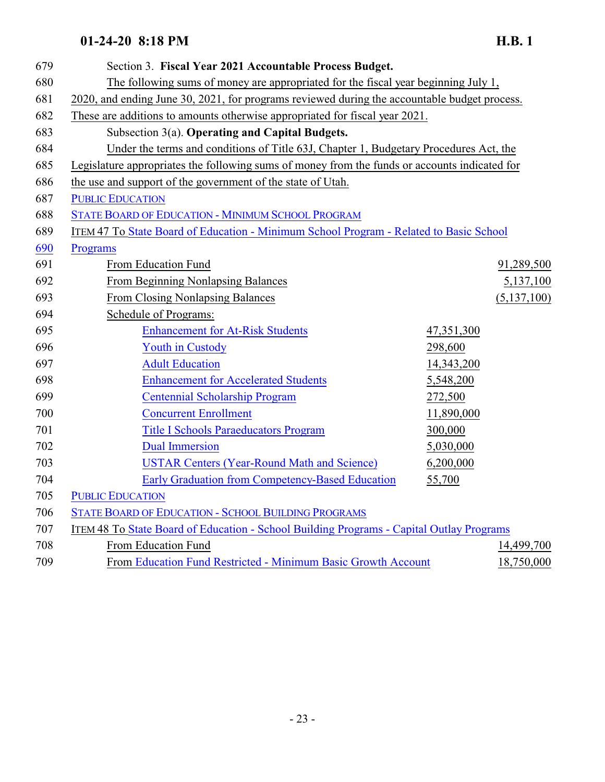| 679 | Section 3. Fiscal Year 2021 Accountable Process Budget.                                       |            |               |
|-----|-----------------------------------------------------------------------------------------------|------------|---------------|
| 680 | The following sums of money are appropriated for the fiscal year beginning July 1,            |            |               |
| 681 | 2020, and ending June 30, 2021, for programs reviewed during the accountable budget process.  |            |               |
| 682 | These are additions to amounts otherwise appropriated for fiscal year 2021.                   |            |               |
| 683 | Subsection 3(a). Operating and Capital Budgets.                                               |            |               |
| 684 | Under the terms and conditions of Title 63J, Chapter 1, Budgetary Procedures Act, the         |            |               |
| 685 | Legislature appropriates the following sums of money from the funds or accounts indicated for |            |               |
| 686 | the use and support of the government of the state of Utah.                                   |            |               |
| 687 | <b>PUBLIC EDUCATION</b>                                                                       |            |               |
| 688 | STATE BOARD OF EDUCATION - MINIMUM SCHOOL PROGRAM                                             |            |               |
| 689 | ITEM 47 To State Board of Education - Minimum School Program - Related to Basic School        |            |               |
| 690 | Programs                                                                                      |            |               |
| 691 | From Education Fund                                                                           |            | 91,289,500    |
| 692 | From Beginning Nonlapsing Balances                                                            |            | 5,137,100     |
| 693 | <b>From Closing Nonlapsing Balances</b>                                                       |            | (5, 137, 100) |
| 694 | Schedule of Programs:                                                                         |            |               |
| 695 | <b>Enhancement for At-Risk Students</b>                                                       | 47,351,300 |               |
| 696 | <b>Youth in Custody</b>                                                                       | 298,600    |               |
| 697 | <b>Adult Education</b>                                                                        | 14,343,200 |               |
| 698 | <b>Enhancement for Accelerated Students</b>                                                   | 5,548,200  |               |
| 699 | <b>Centennial Scholarship Program</b>                                                         | 272,500    |               |
| 700 | <b>Concurrent Enrollment</b>                                                                  | 11,890,000 |               |
| 701 | <b>Title I Schools Paraeducators Program</b>                                                  | 300,000    |               |
| 702 | <b>Dual Immersion</b>                                                                         | 5,030,000  |               |
| 703 | <b>USTAR Centers (Year-Round Math and Science)</b>                                            | 6,200,000  |               |
| 704 | Early Graduation from Competency-Based Education                                              | 55,700     |               |
| 705 | <b>PUBLIC EDUCATION</b>                                                                       |            |               |
| 706 | <b>STATE BOARD OF EDUCATION - SCHOOL BUILDING PROGRAMS</b>                                    |            |               |
| 707 | ITEM 48 To State Board of Education - School Building Programs - Capital Outlay Programs      |            |               |
| 708 | From Education Fund                                                                           |            | 14,499,700    |
| 709 | From Education Fund Restricted - Minimum Basic Growth Account                                 |            | 18,750,000    |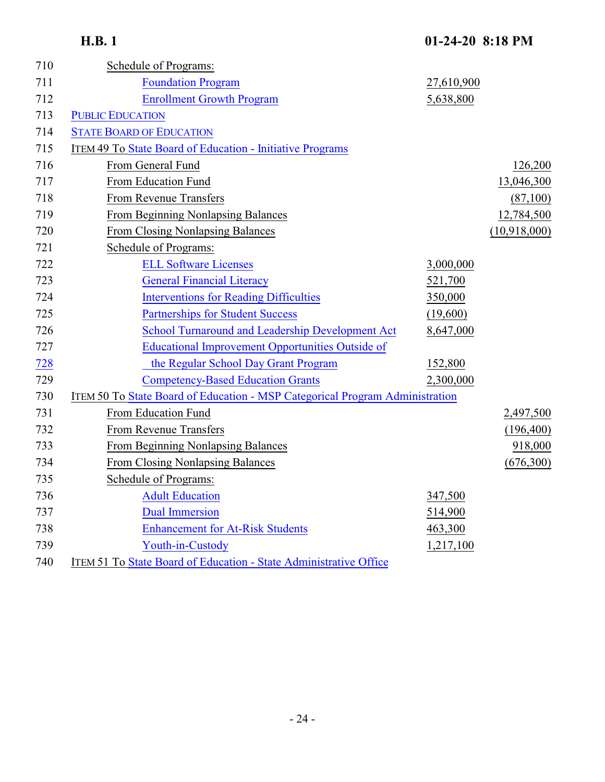| 710 | Schedule of Programs:                                                        |            |              |
|-----|------------------------------------------------------------------------------|------------|--------------|
| 711 | <b>Foundation Program</b>                                                    | 27,610,900 |              |
| 712 | <b>Enrollment Growth Program</b>                                             | 5,638,800  |              |
| 713 | <b>PUBLIC EDUCATION</b>                                                      |            |              |
| 714 | <b>STATE BOARD OF EDUCATION</b>                                              |            |              |
| 715 | ITEM 49 To State Board of Education - Initiative Programs                    |            |              |
| 716 | From General Fund                                                            |            | 126,200      |
| 717 | From Education Fund                                                          |            | 13,046,300   |
| 718 | From Revenue Transfers                                                       |            | (87,100)     |
| 719 | From Beginning Nonlapsing Balances                                           |            | 12,784,500   |
| 720 | <b>From Closing Nonlapsing Balances</b>                                      |            | (10,918,000) |
| 721 | Schedule of Programs:                                                        |            |              |
| 722 | <b>ELL Software Licenses</b>                                                 | 3,000,000  |              |
| 723 | <b>General Financial Literacy</b>                                            | 521,700    |              |
| 724 | <b>Interventions for Reading Difficulties</b>                                | 350,000    |              |
| 725 | <b>Partnerships for Student Success</b>                                      | (19,600)   |              |
| 726 | School Turnaround and Leadership Development Act                             | 8,647,000  |              |
| 727 | <b>Educational Improvement Opportunities Outside of</b>                      |            |              |
| 728 | the Regular School Day Grant Program                                         | 152,800    |              |
| 729 | <b>Competency-Based Education Grants</b>                                     | 2,300,000  |              |
| 730 | ITEM 50 To State Board of Education - MSP Categorical Program Administration |            |              |
| 731 | From Education Fund                                                          |            | 2,497,500    |
| 732 | From Revenue Transfers                                                       |            | (196, 400)   |
| 733 | <b>From Beginning Nonlapsing Balances</b>                                    |            | 918,000      |
| 734 | <b>From Closing Nonlapsing Balances</b>                                      |            | (676,300)    |
| 735 | Schedule of Programs:                                                        |            |              |
| 736 | <b>Adult Education</b>                                                       | 347,500    |              |
| 737 | <b>Dual Immersion</b>                                                        | 514,900    |              |
| 738 | <b>Enhancement for At-Risk Students</b>                                      | 463,300    |              |
| 739 | Youth-in-Custody                                                             | 1,217,100  |              |
| 740 | ITEM 51 To State Board of Education - State Administrative Office            |            |              |